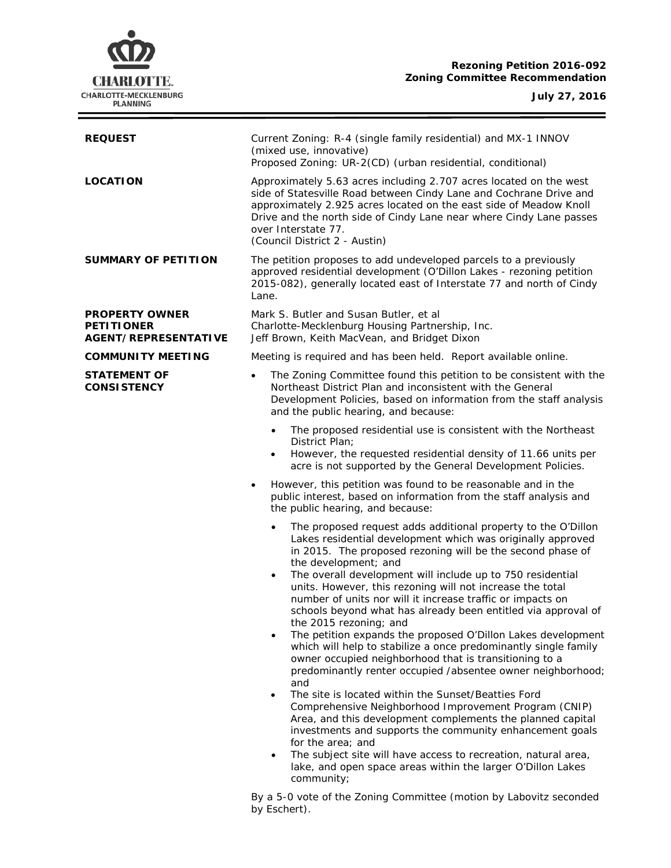# **Rezoning Petition 2016-092 Zoning Committee Recommendation**



÷

| <b>REQUEST</b>                                                            | Current Zoning: R-4 (single family residential) and MX-1 INNOV<br>(mixed use, innovative)<br>Proposed Zoning: UR-2(CD) (urban residential, conditional)                                                                                                                                                                                                                                                                                                                                                                          |  |
|---------------------------------------------------------------------------|----------------------------------------------------------------------------------------------------------------------------------------------------------------------------------------------------------------------------------------------------------------------------------------------------------------------------------------------------------------------------------------------------------------------------------------------------------------------------------------------------------------------------------|--|
| <b>LOCATION</b>                                                           | Approximately 5.63 acres including 2.707 acres located on the west<br>side of Statesville Road between Cindy Lane and Cochrane Drive and<br>approximately 2.925 acres located on the east side of Meadow Knoll<br>Drive and the north side of Cindy Lane near where Cindy Lane passes<br>over Interstate 77.<br>(Council District 2 - Austin)                                                                                                                                                                                    |  |
| <b>SUMMARY OF PETITION</b>                                                | The petition proposes to add undeveloped parcels to a previously<br>approved residential development (O'Dillon Lakes - rezoning petition<br>2015-082), generally located east of Interstate 77 and north of Cindy<br>Lane.                                                                                                                                                                                                                                                                                                       |  |
| <b>PROPERTY OWNER</b><br><b>PETITIONER</b><br><b>AGENT/REPRESENTATIVE</b> | Mark S. Butler and Susan Butler, et al<br>Charlotte-Mecklenburg Housing Partnership, Inc.<br>Jeff Brown, Keith MacVean, and Bridget Dixon                                                                                                                                                                                                                                                                                                                                                                                        |  |
| <b>COMMUNITY MEETING</b>                                                  | Meeting is required and has been held. Report available online.                                                                                                                                                                                                                                                                                                                                                                                                                                                                  |  |
| <b>STATEMENT OF</b><br><b>CONSISTENCY</b>                                 | The Zoning Committee found this petition to be consistent with the<br>$\bullet$<br>Northeast District Plan and inconsistent with the General<br>Development Policies, based on information from the staff analysis<br>and the public hearing, and because:                                                                                                                                                                                                                                                                       |  |
|                                                                           | The proposed residential use is consistent with the Northeast<br>$\bullet$<br>District Plan;<br>However, the requested residential density of 11.66 units per<br>$\bullet$<br>acre is not supported by the General Development Policies.                                                                                                                                                                                                                                                                                         |  |
|                                                                           | However, this petition was found to be reasonable and in the<br>٠<br>public interest, based on information from the staff analysis and<br>the public hearing, and because:                                                                                                                                                                                                                                                                                                                                                       |  |
|                                                                           | The proposed request adds additional property to the O'Dillon<br>$\bullet$<br>Lakes residential development which was originally approved<br>in 2015. The proposed rezoning will be the second phase of<br>the development; and<br>The overall development will include up to 750 residential<br>$\bullet$<br>units. However, this rezoning will not increase the total<br>number of units nor will it increase traffic or impacts on<br>schools beyond what has already been entitled via approval of<br>the 2015 rezoning; and |  |
|                                                                           | The petition expands the proposed O'Dillon Lakes development<br>which will help to stabilize a once predominantly single family<br>owner occupied neighborhood that is transitioning to a<br>predominantly renter occupied /absentee owner neighborhood;<br>and<br>The site is located within the Sunset/Beatties Ford<br>$\bullet$<br>Comprehensive Neighborhood Improvement Program (CNIP)<br>Area, and this development complements the planned capital<br>investments and supports the community enhancement goals           |  |
|                                                                           | for the area; and<br>The subject site will have access to recreation, natural area,<br>$\bullet$<br>lake, and open space areas within the larger O'Dillon Lakes<br>community;                                                                                                                                                                                                                                                                                                                                                    |  |

By a 5-0 vote of the Zoning Committee (motion by Labovitz seconded by Eschert).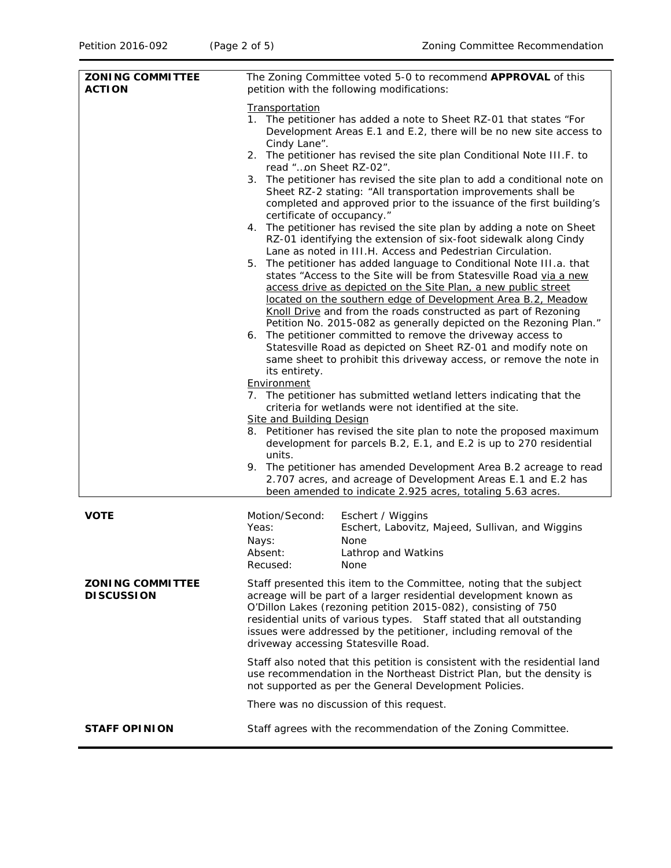| <b>ZONING COMMITTEE</b><br><b>ACTION</b>     | The Zoning Committee voted 5-0 to recommend APPROVAL of this<br>petition with the following modifications:                                                                                                                                                                                                                                                                                                                                                                                                                                                                                                                                                                                                                                                                                                                                                                                                                                                                                                                                                                                                                                                                                                                                                                                                                                                                                                                                                                                                                                                                                                                                                                                                                                                                                                                                                                                                                                          |  |
|----------------------------------------------|-----------------------------------------------------------------------------------------------------------------------------------------------------------------------------------------------------------------------------------------------------------------------------------------------------------------------------------------------------------------------------------------------------------------------------------------------------------------------------------------------------------------------------------------------------------------------------------------------------------------------------------------------------------------------------------------------------------------------------------------------------------------------------------------------------------------------------------------------------------------------------------------------------------------------------------------------------------------------------------------------------------------------------------------------------------------------------------------------------------------------------------------------------------------------------------------------------------------------------------------------------------------------------------------------------------------------------------------------------------------------------------------------------------------------------------------------------------------------------------------------------------------------------------------------------------------------------------------------------------------------------------------------------------------------------------------------------------------------------------------------------------------------------------------------------------------------------------------------------------------------------------------------------------------------------------------------------|--|
|                                              | Transportation<br>1. The petitioner has added a note to Sheet RZ-01 that states "For<br>Development Areas E.1 and E.2, there will be no new site access to<br>Cindy Lane".<br>2. The petitioner has revised the site plan Conditional Note III.F. to<br>read "on Sheet RZ-02".<br>3. The petitioner has revised the site plan to add a conditional note on<br>Sheet RZ-2 stating: "All transportation improvements shall be<br>completed and approved prior to the issuance of the first building's<br>certificate of occupancy."<br>4. The petitioner has revised the site plan by adding a note on Sheet<br>RZ-01 identifying the extension of six-foot sidewalk along Cindy<br>Lane as noted in III.H. Access and Pedestrian Circulation.<br>5.<br>The petitioner has added language to Conditional Note III.a. that<br>states "Access to the Site will be from Statesville Road via a new<br>access drive as depicted on the Site Plan, a new public street<br>located on the southern edge of Development Area B.2, Meadow<br>Knoll Drive and from the roads constructed as part of Rezoning<br>Petition No. 2015-082 as generally depicted on the Rezoning Plan."<br>The petitioner committed to remove the driveway access to<br>6.<br>Statesville Road as depicted on Sheet RZ-01 and modify note on<br>same sheet to prohibit this driveway access, or remove the note in<br>its entirety.<br>Environment<br>7. The petitioner has submitted wetland letters indicating that the<br>criteria for wetlands were not identified at the site.<br><b>Site and Building Design</b><br>8. Petitioner has revised the site plan to note the proposed maximum<br>development for parcels B.2, E.1, and E.2 is up to 270 residential<br>units.<br>9. The petitioner has amended Development Area B.2 acreage to read<br>2.707 acres, and acreage of Development Areas E.1 and E.2 has<br>been amended to indicate 2.925 acres, totaling 5.63 acres. |  |
| <b>VOTE</b>                                  | Motion/Second:<br>Eschert / Wiggins<br>Yeas:<br>Eschert, Labovitz, Majeed, Sullivan, and Wiggins<br>Nays:<br>None<br>Absent:<br>Lathrop and Watkins                                                                                                                                                                                                                                                                                                                                                                                                                                                                                                                                                                                                                                                                                                                                                                                                                                                                                                                                                                                                                                                                                                                                                                                                                                                                                                                                                                                                                                                                                                                                                                                                                                                                                                                                                                                                 |  |
|                                              | Recused:<br>None                                                                                                                                                                                                                                                                                                                                                                                                                                                                                                                                                                                                                                                                                                                                                                                                                                                                                                                                                                                                                                                                                                                                                                                                                                                                                                                                                                                                                                                                                                                                                                                                                                                                                                                                                                                                                                                                                                                                    |  |
| <b>ZONING COMMITTEE</b><br><b>DISCUSSION</b> | Staff presented this item to the Committee, noting that the subject<br>acreage will be part of a larger residential development known as<br>O'Dillon Lakes (rezoning petition 2015-082), consisting of 750<br>residential units of various types. Staff stated that all outstanding<br>issues were addressed by the petitioner, including removal of the<br>driveway accessing Statesville Road.                                                                                                                                                                                                                                                                                                                                                                                                                                                                                                                                                                                                                                                                                                                                                                                                                                                                                                                                                                                                                                                                                                                                                                                                                                                                                                                                                                                                                                                                                                                                                    |  |
|                                              | Staff also noted that this petition is consistent with the residential land<br>use recommendation in the Northeast District Plan, but the density is<br>not supported as per the General Development Policies.                                                                                                                                                                                                                                                                                                                                                                                                                                                                                                                                                                                                                                                                                                                                                                                                                                                                                                                                                                                                                                                                                                                                                                                                                                                                                                                                                                                                                                                                                                                                                                                                                                                                                                                                      |  |
|                                              | There was no discussion of this request.                                                                                                                                                                                                                                                                                                                                                                                                                                                                                                                                                                                                                                                                                                                                                                                                                                                                                                                                                                                                                                                                                                                                                                                                                                                                                                                                                                                                                                                                                                                                                                                                                                                                                                                                                                                                                                                                                                            |  |
| <b>STAFF OPINION</b>                         | Staff agrees with the recommendation of the Zoning Committee.                                                                                                                                                                                                                                                                                                                                                                                                                                                                                                                                                                                                                                                                                                                                                                                                                                                                                                                                                                                                                                                                                                                                                                                                                                                                                                                                                                                                                                                                                                                                                                                                                                                                                                                                                                                                                                                                                       |  |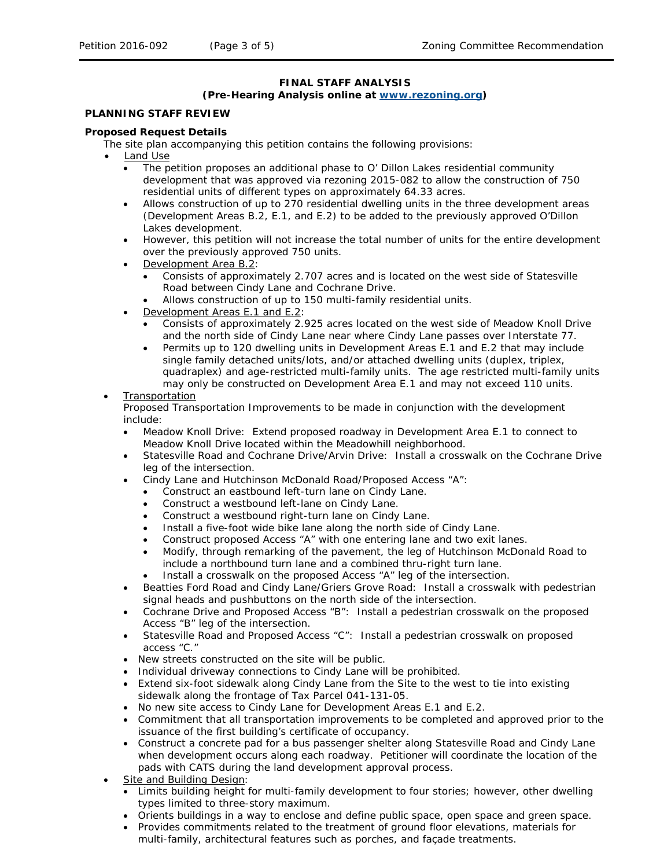### **FINAL STAFF ANALYSIS**

### **(Pre-Hearing Analysis online at [www.rezoning.org\)](http://www.rezoning.org/)**

## **PLANNING STAFF REVIEW**

#### **Proposed Request Details**

The site plan accompanying this petition contains the following provisions:

- Land Use
	- The petition proposes an additional phase to O' Dillon Lakes residential community development that was approved via rezoning 2015-082 to allow the construction of 750 residential units of different types on approximately 64.33 acres.
	- Allows construction of up to 270 residential dwelling units in the three development areas (Development Areas B.2, E.1, and E.2) to be added to the previously approved O'Dillon Lakes development.
	- However, this petition will not increase the total number of units for the entire development over the previously approved 750 units.
	- Development Area B.2:
		- Consists of approximately 2.707 acres and is located on the west side of Statesville Road between Cindy Lane and Cochrane Drive.
			- Allows construction of up to 150 multi-family residential units.
	- Development Areas E.1 and E.2:
		- Consists of approximately 2.925 acres located on the west side of Meadow Knoll Drive and the north side of Cindy Lane near where Cindy Lane passes over Interstate 77.
		- Permits up to 120 dwelling units in Development Areas E.1 and E.2 that may include single family detached units/lots, and/or attached dwelling units (duplex, triplex, quadraplex) and age-restricted multi-family units. The age restricted multi-family units may only be constructed on Development Area E.1 and may not exceed 110 units.
- **Transportation**

Proposed Transportation Improvements to be made in conjunction with the development include:

- Meadow Knoll Drive: Extend proposed roadway in Development Area E.1 to connect to Meadow Knoll Drive located within the Meadowhill neighborhood.
- Statesville Road and Cochrane Drive/Arvin Drive: Install a crosswalk on the Cochrane Drive leg of the intersection.
- Cindy Lane and Hutchinson McDonald Road/Proposed Access "A":
	- Construct an eastbound left-turn lane on Cindy Lane.
	- Construct a westbound left-lane on Cindy Lane.
	- Construct a westbound right-turn lane on Cindy Lane.
	- Install a five-foot wide bike lane along the north side of Cindy Lane.
	- Construct proposed Access "A" with one entering lane and two exit lanes.
	- Modify, through remarking of the pavement, the leg of Hutchinson McDonald Road to include a northbound turn lane and a combined thru-right turn lane.
	- Install a crosswalk on the proposed Access "A" leg of the intersection.
- Beatties Ford Road and Cindy Lane/Griers Grove Road: Install a crosswalk with pedestrian signal heads and pushbuttons on the north side of the intersection.
- Cochrane Drive and Proposed Access "B": Install a pedestrian crosswalk on the proposed Access "B" leg of the intersection.
- Statesville Road and Proposed Access "C": Install a pedestrian crosswalk on proposed access "C."
- New streets constructed on the site will be public.
- Individual driveway connections to Cindy Lane will be prohibited.
- Extend six-foot sidewalk along Cindy Lane from the Site to the west to tie into existing sidewalk along the frontage of Tax Parcel 041-131-05.
- No new site access to Cindy Lane for Development Areas E.1 and E.2.
- Commitment that all transportation improvements to be completed and approved prior to the issuance of the first building's certificate of occupancy.
- Construct a concrete pad for a bus passenger shelter along Statesville Road and Cindy Lane when development occurs along each roadway. Petitioner will coordinate the location of the pads with CATS during the land development approval process.
- Site and Building Design:
	- Limits building height for multi-family development to four stories; however, other dwelling types limited to three-story maximum.
	- Orients buildings in a way to enclose and define public space, open space and green space.
	- Provides commitments related to the treatment of ground floor elevations, materials for multi-family, architectural features such as porches, and façade treatments.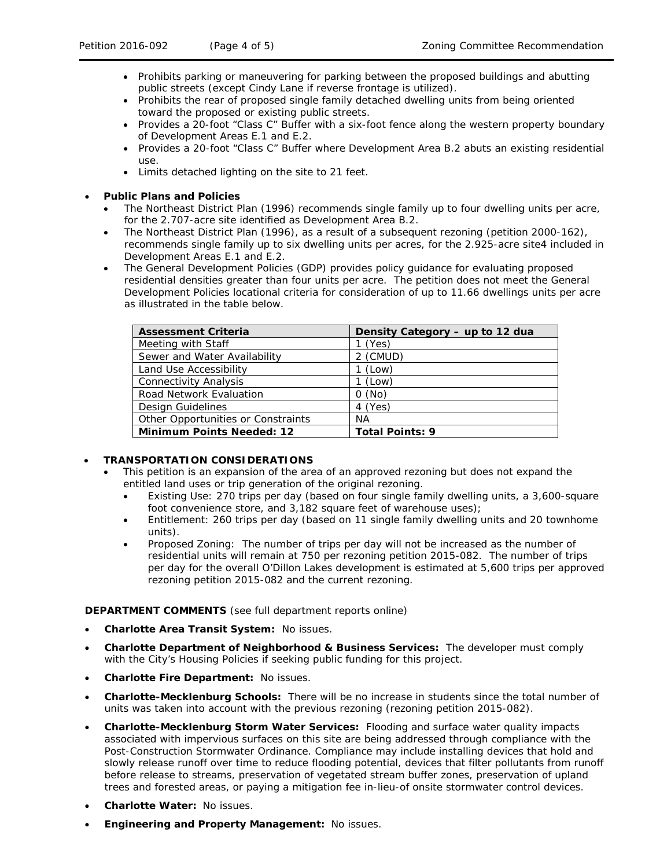- Prohibits parking or maneuvering for parking between the proposed buildings and abutting public streets (except Cindy Lane if reverse frontage is utilized).
- Prohibits the rear of proposed single family detached dwelling units from being oriented toward the proposed or existing public streets.
- Provides a 20-foot "Class C" Buffer with a six-foot fence along the western property boundary of Development Areas E.1 and E.2.
- Provides a 20-foot "Class C" Buffer where Development Area B.2 abuts an existing residential use.
- Limits detached lighting on the site to 21 feet.

## • **Public Plans and Policies**

- The *Northeast District Plan* (1996) recommends single family up to four dwelling units per acre, for the 2.707-acre site identified as Development Area B.2.
- The *Northeast District Plan* (1996), as a result of a subsequent rezoning (petition 2000-162), recommends single family up to six dwelling units per acres, for the 2.925-acre site4 included in Development Areas E.1 and E.2.
- The *General Development Policies* (GDP) provides policy guidance for evaluating proposed residential densities greater than four units per acre. The petition does not meet the General Development Policies locational criteria for consideration of up to 11.66 dwellings units per acre as illustrated in the table below.

| <b>Assessment Criteria</b>         | Density Category - up to 12 dua |
|------------------------------------|---------------------------------|
| Meeting with Staff                 | 1 (Yes)                         |
| Sewer and Water Availability       | 2 (CMUD)                        |
| Land Use Accessibility             | 1 (Low)                         |
| <b>Connectivity Analysis</b>       | (Low)                           |
| <b>Road Network Evaluation</b>     | $0$ (No)                        |
| Design Guidelines                  | 4 (Yes)                         |
| Other Opportunities or Constraints | ΝA                              |
| <b>Minimum Points Needed: 12</b>   | <b>Total Points: 9</b>          |

## • **TRANSPORTATION CONSIDERATIONS**

- This petition is an expansion of the area of an approved rezoning but does not expand the entitled land uses or trip generation of the original rezoning.
	- Existing Use: 270 trips per day (based on four single family dwelling units, a 3,600-square foot convenience store, and 3,182 square feet of warehouse uses);
	- Entitlement: 260 trips per day (based on 11 single family dwelling units and 20 townhome units).
	- Proposed Zoning: The number of trips per day will not be increased as the number of residential units will remain at 750 per rezoning petition 2015-082. The number of trips per day for the overall O'Dillon Lakes development is estimated at 5,600 trips per approved rezoning petition 2015-082 and the current rezoning.

## **DEPARTMENT COMMENTS** (see full department reports online)

- **Charlotte Area Transit System:** No issues.
- **Charlotte Department of Neighborhood & Business Services:** The developer must comply with the City's Housing Policies if seeking public funding for this project.
- **Charlotte Fire Department:** No issues.
- **Charlotte-Mecklenburg Schools:** There will be no increase in students since the total number of units was taken into account with the previous rezoning (rezoning petition 2015-082).
- **Charlotte-Mecklenburg Storm Water Services:** Flooding and surface water quality impacts associated with impervious surfaces on this site are being addressed through compliance with the Post-Construction Stormwater Ordinance. Compliance may include installing devices that hold and slowly release runoff over time to reduce flooding potential, devices that filter pollutants from runoff before release to streams, preservation of vegetated stream buffer zones, preservation of upland trees and forested areas, or paying a mitigation fee in-lieu-of onsite stormwater control devices.
- **Charlotte Water:** No issues.
- **Engineering and Property Management:** No issues.